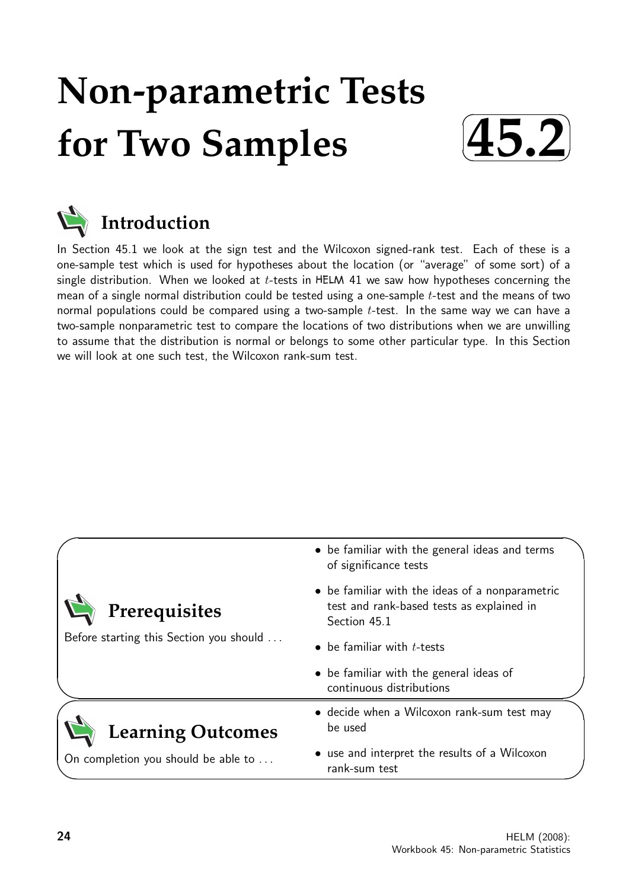# **Non-parametric Tests for Two Samples**





In Section 45.1 we look at the sign test and the Wilcoxon signed-rank test. Each of these is a one-sample test which is used for hypotheses about the location (or "average" of some sort) of a single distribution. When we looked at  $t$ -tests in HELM 41 we saw how hypotheses concerning the mean of a single normal distribution could be tested using a one-sample t-test and the means of two normal populations could be compared using a two-sample  $t$ -test. In the same way we can have a two-sample nonparametric test to compare the locations of two distributions when we are unwilling to assume that the distribution is normal or belongs to some other particular type. In this Section we will look at one such test, the Wilcoxon rank-sum test.

|                                         | • be familiar with the general ideas and terms<br>of significance tests                                      |  |  |  |  |
|-----------------------------------------|--------------------------------------------------------------------------------------------------------------|--|--|--|--|
| Prerequisites                           | • be familiar with the ideas of a nonparametric<br>test and rank-based tests as explained in<br>Section 45.1 |  |  |  |  |
| Before starting this Section you should | $\bullet$ be familiar with <i>t</i> -tests                                                                   |  |  |  |  |
|                                         | • be familiar with the general ideas of<br>continuous distributions                                          |  |  |  |  |
| <b>Learning Outcomes</b>                | • decide when a Wilcoxon rank-sum test may<br>be used                                                        |  |  |  |  |
| On completion you should be able to     | • use and interpret the results of a Wilcoxon<br>rank-sum test                                               |  |  |  |  |
|                                         |                                                                                                              |  |  |  |  |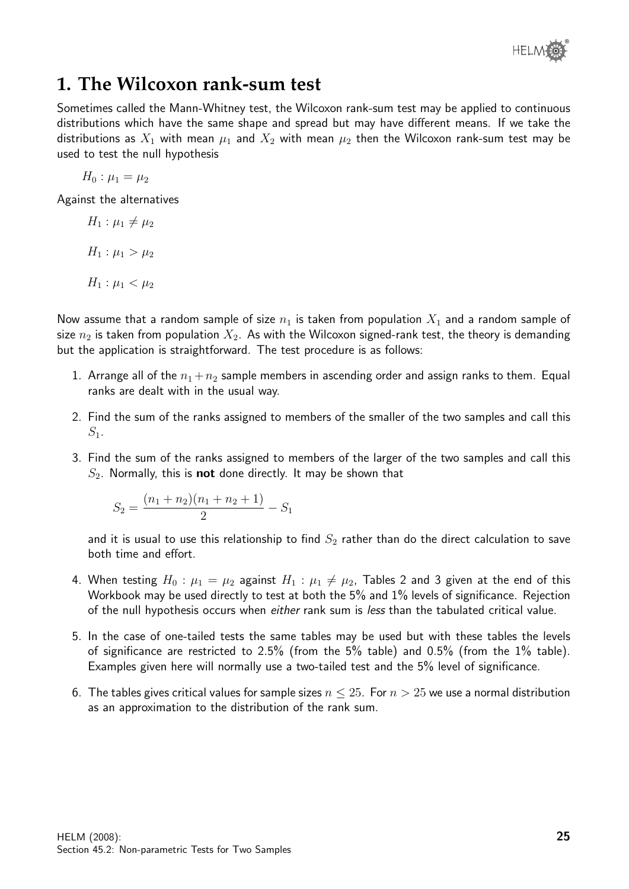

# **1. The Wilcoxon rank-sum test**

Sometimes called the Mann-Whitney test, the Wilcoxon rank-sum test may be applied to continuous distributions which have the same shape and spread but may have different means. If we take the distributions as  $X_1$  with mean  $\mu_1$  and  $X_2$  with mean  $\mu_2$  then the Wilcoxon rank-sum test may be used to test the null hypothesis

 $H_0: \mu_1 = \mu_2$ 

Against the alternatives

$$
H_1: \mu_1 \neq \mu_2
$$

$$
H_1: \mu_1 > \mu_2
$$

$$
H_1: \mu_1 < \mu_2
$$

Now assume that a random sample of size  $n_1$  is taken from population  $X_1$  and a random sample of size  $n_2$  is taken from population  $X_2$ . As with the Wilcoxon signed-rank test, the theory is demanding but the application is straightforward. The test procedure is as follows:

- 1. Arrange all of the  $n_1 + n_2$  sample members in ascending order and assign ranks to them. Equal ranks are dealt with in the usual way.
- 2. Find the sum of the ranks assigned to members of the smaller of the two samples and call this  $S_1$ .
- 3. Find the sum of the ranks assigned to members of the larger of the two samples and call this  $S_2$ . Normally, this is **not** done directly. It may be shown that

$$
S_2 = \frac{(n_1 + n_2)(n_1 + n_2 + 1)}{2} - S_1
$$

and it is usual to use this relationship to find  $S_2$  rather than do the direct calculation to save both time and effort.

- 4. When testing  $H_0: \mu_1 = \mu_2$  against  $H_1: \mu_1 \neq \mu_2$ , Tables 2 and 3 given at the end of this Workbook may be used directly to test at both the 5% and 1% levels of significance. Rejection of the null hypothesis occurs when *either* rank sum is *less* than the tabulated critical value.
- 5. In the case of one-tailed tests the same tables may be used but with these tables the levels of significance are restricted to 2.5% (from the 5% table) and 0.5% (from the 1% table). Examples given here will normally use a two-tailed test and the 5% level of significance.
- 6. The tables gives critical values for sample sizes  $n \leq 25$ . For  $n > 25$  we use a normal distribution as an approximation to the distribution of the rank sum.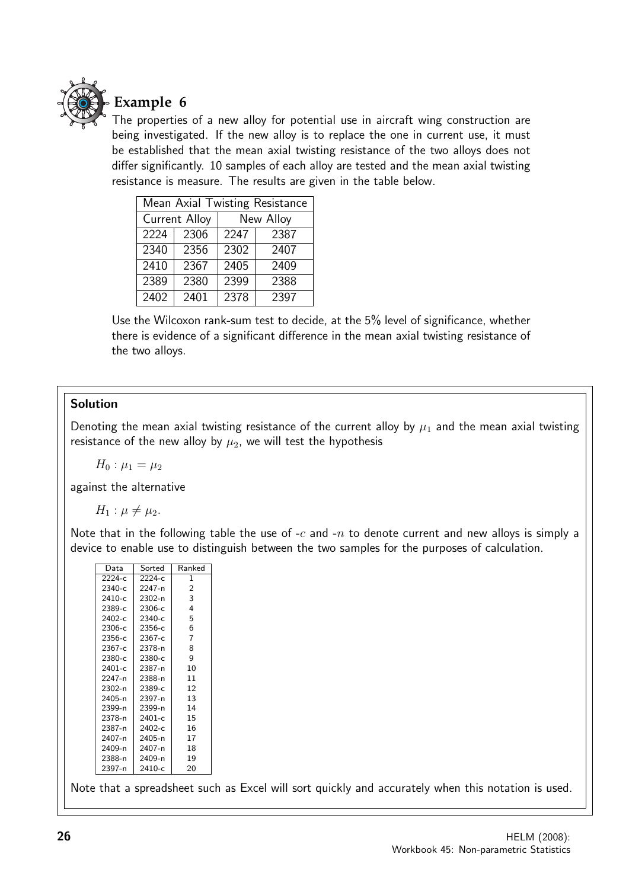

## **Example 6**

The properties of a new alloy for potential use in aircraft wing construction are being investigated. If the new alloy is to replace the one in current use, it must be established that the mean axial twisting resistance of the two alloys does not differ significantly. 10 samples of each alloy are tested and the mean axial twisting resistance is measure. The results are given in the table below.

| Mean Axial Twisting Resistance |               |      |           |  |  |
|--------------------------------|---------------|------|-----------|--|--|
|                                | Current Alloy |      | New Alloy |  |  |
| 2224                           | 2306          | 2247 | 2387      |  |  |
| 2340                           | 2356          | 2302 | 2407      |  |  |
| 2410                           | 2367          | 2405 | 2409      |  |  |
| 2389                           | 2380          | 2399 | 2388      |  |  |
| $\sqrt{2402}$                  | 2401          | 2378 | 2397      |  |  |

Use the Wilcoxon rank-sum test to decide, at the 5% level of significance, whether there is evidence of a significant difference in the mean axial twisting resistance of the two alloys.

### Solution

Denoting the mean axial twisting resistance of the current alloy by  $\mu_1$  and the mean axial twisting resistance of the new alloy by  $\mu_2$ , we will test the hypothesis

 $H_0: \mu_1 = \mu_2$ 

against the alternative

 $H_1$  :  $\mu \neq \mu_2$ .

Note that in the following table the use of  $-c$  and  $-n$  to denote current and new alloys is simply a device to enable use to distinguish between the two samples for the purposes of calculation.

| Data       | Sorted   | Ranked |
|------------|----------|--------|
| $2224-c$   | 2224-с   | 1      |
| 2340-с     | 2247-n   | 2      |
| 2410-с     | 2302-n   | 3      |
| 2389-c     | 2306-c   | 4      |
| 2402-с     | 2340-с   | 5      |
| $2306-c$   | 2356-с   | 6      |
| $2356-c$   | $2367-c$ | 7      |
| 2367-с     | 2378-n   | 8      |
| 2380-c     | 2380-c   | 9      |
| 2401-c     | 2387-n   | 10     |
| 2247-n     | 2388-n   | 11     |
| $2302 - n$ | 2389-с   | 12     |
| 2405-n     | 2397-n   | 13     |
| 2399-n     | 2399-n   | 14     |
| 2378-n     | 2401-c   | 15     |
| 2387-n     | 2402-с   | 16     |
| 2407-n     | 2405-n   | 17     |
| 2409-n     | 2407-n   | 18     |
| 2388-n     | 2409-n   | 19     |
| 2397-n     | 2410-с   | 20     |

Note that a spreadsheet such as Excel will sort quickly and accurately when this notation is used.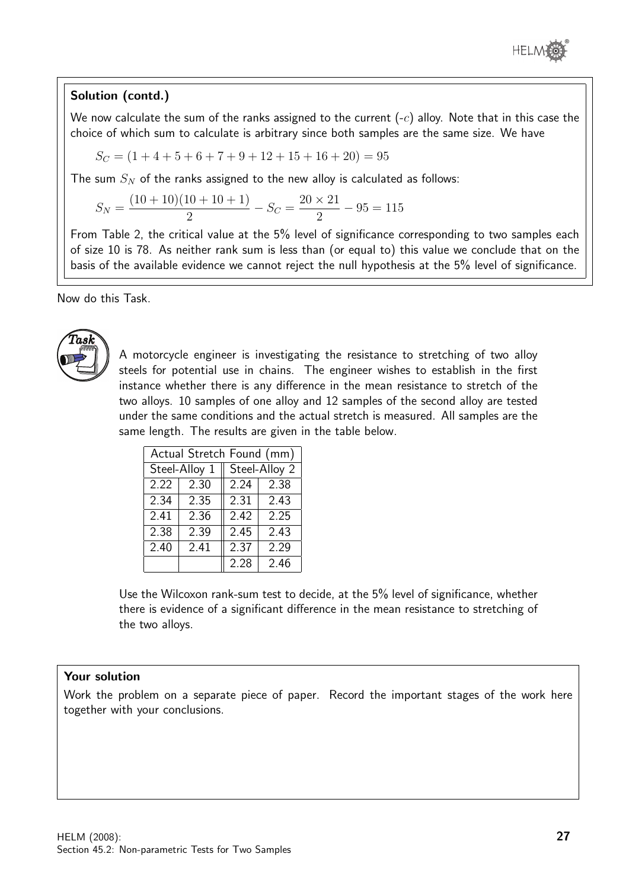

#### Solution (contd.)

We now calculate the sum of the ranks assigned to the current  $(-c)$  alloy. Note that in this case the choice of which sum to calculate is arbitrary since both samples are the same size. We have

 $S_C = (1 + 4 + 5 + 6 + 7 + 9 + 12 + 15 + 16 + 20) = 95$ 

The sum  $S_N$  of the ranks assigned to the new alloy is calculated as follows:

$$
S_N = \frac{(10+10)(10+10+1)}{2} - S_C = \frac{20 \times 21}{2} - 95 = 115
$$

From Table 2, the critical value at the 5% level of significance corresponding to two samples each of size 10 is 78. As neither rank sum is less than (or equal to) this value we conclude that on the basis of the available evidence we cannot reject the null hypothesis at the 5% level of significance.

Now do this Task.



A motorcycle engineer is investigating the resistance to stretching of two alloy steels for potential use in chains. The engineer wishes to establish in the first instance whether there is any difference in the mean resistance to stretch of the two alloys. 10 samples of one alloy and 12 samples of the second alloy are tested under the same conditions and the actual stretch is measured. All samples are the same length. The results are given in the table below.

| Actual Stretch Found (mm) |               |      |               |  |  |
|---------------------------|---------------|------|---------------|--|--|
|                           | Steel-Alloy 1 |      | Steel-Alloy 2 |  |  |
| 2.22                      | 2.30          | 2.24 | 2.38          |  |  |
| 2.34                      | 2.35          | 2.31 | 2.43          |  |  |
| $\overline{2.41}$         | 2.36          | 2.42 | 2.25          |  |  |
| 2.38                      | 2.39          | 2.45 | 2.43          |  |  |
| 2.40                      | 2.41          |      | 2.29          |  |  |
|                           |               | 2.28 | 2.46          |  |  |

Use the Wilcoxon rank-sum test to decide, at the 5% level of significance, whether there is evidence of a significant difference in the mean resistance to stretching of the two alloys.

#### Your solution

Work the problem on a separate piece of paper. Record the important stages of the work here together with your conclusions.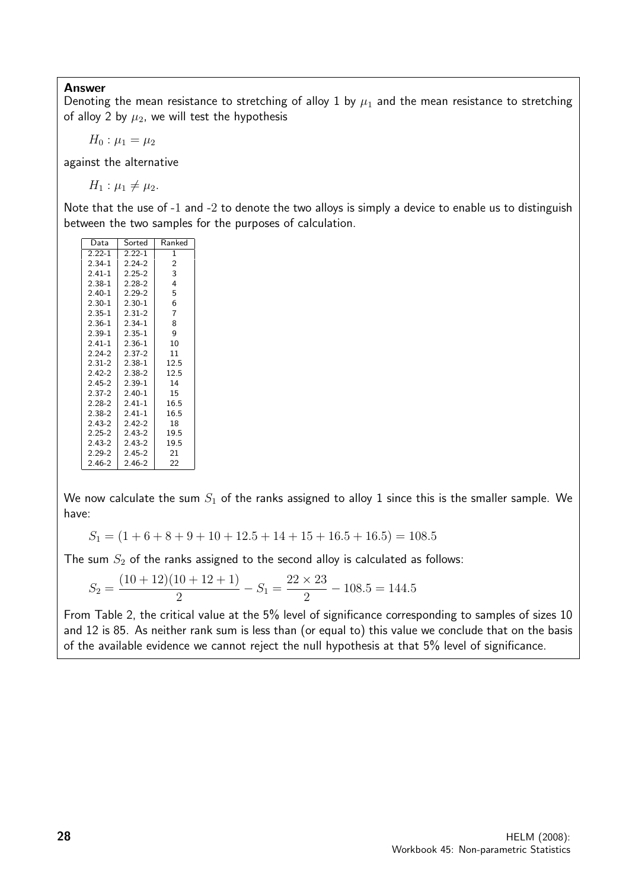#### Answer

Denoting the mean resistance to stretching of alloy 1 by  $\mu_1$  and the mean resistance to stretching of alloy 2 by  $\mu_2$ , we will test the hypothesis

 $H_0: \mu_1 = \mu_2$ 

against the alternative

 $H_1 : \mu_1 \neq \mu_2.$ 

Note that the use of -1 and -2 to denote the two alloys is simply a device to enable us to distinguish between the two samples for the purposes of calculation.

| Data       | Sorted     | Ranked       |
|------------|------------|--------------|
| $2.22 - 1$ | $2.22 - 1$ | $\mathbf{1}$ |
| $2.34 - 1$ | $224-2$    | 2            |
| $2.41 - 1$ | $2.25 - 2$ | 3            |
| $2.38 - 1$ | $2.28 - 2$ | 4            |
| $2.40 - 1$ | $2.29 - 2$ | 5            |
| $2.30 - 1$ | $2.30 - 1$ | 6            |
| $2.35 - 1$ | $2.31 - 2$ | 7            |
| $2.36 - 1$ | $2.34 - 1$ | 8            |
| $2.39 - 1$ | $2.35 - 1$ | 9            |
| $2.41 - 1$ | $2.36 - 1$ | 10           |
| $2.24 - 2$ | $2.37 - 2$ | 11           |
| $2.31 - 2$ | $2.38 - 1$ | 12.5         |
| $2.42 - 2$ | $2.38 - 2$ | 12.5         |
| $2.45 - 2$ | $2.39 - 1$ | 14           |
| $2.37 - 2$ | $2.40 - 1$ | 15           |
| $2.28 - 2$ | $2.41 - 1$ | 16.5         |
| 2.38-2     | $2.41 - 1$ | 16.5         |
| $2.43 - 2$ | $2.42 - 2$ | 18           |
| $2.25 - 2$ | $2.43 - 2$ | 19.5         |
| $2.43 - 2$ | $2.43 - 2$ | 19.5         |
| $2.29 - 2$ | $2.45 - 2$ | 21           |
| 2.46-2     | $2.46 - 2$ | 22           |

We now calculate the sum  $S_1$  of the ranks assigned to alloy 1 since this is the smaller sample. We have:

$$
S_1 = (1 + 6 + 8 + 9 + 10 + 12.5 + 14 + 15 + 16.5 + 16.5) = 108.5
$$

The sum  $S_2$  of the ranks assigned to the second alloy is calculated as follows:

$$
S_2 = \frac{(10+12)(10+12+1)}{2} - S_1 = \frac{22 \times 23}{2} - 108.5 = 144.5
$$

From Table 2, the critical value at the 5% level of significance corresponding to samples of sizes 10 and 12 is 85. As neither rank sum is less than (or equal to) this value we conclude that on the basis of the available evidence we cannot reject the null hypothesis at that 5% level of significance.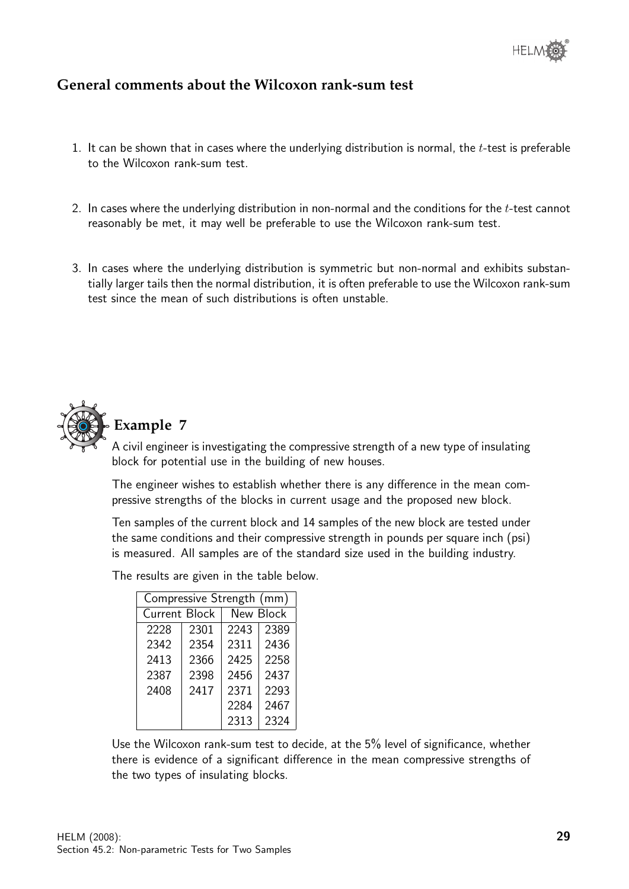## **General comments about the Wilcoxon rank-sum test**

- 1. It can be shown that in cases where the underlying distribution is normal, the  $t$ -test is preferable to the Wilcoxon rank-sum test.
- 2. In cases where the underlying distribution in non-normal and the conditions for the  $t$ -test cannot reasonably be met, it may well be preferable to use the Wilcoxon rank-sum test.
- 3. In cases where the underlying distribution is symmetric but non-normal and exhibits substantially larger tails then the normal distribution, it is often preferable to use the Wilcoxon rank-sum test since the mean of such distributions is often unstable.



## **Example 7**

A civil engineer is investigating the compressive strength of a new type of insulating block for potential use in the building of new houses.

The engineer wishes to establish whether there is any difference in the mean compressive strengths of the blocks in current usage and the proposed new block.

Ten samples of the current block and 14 samples of the new block are tested under the same conditions and their compressive strength in pounds per square inch (psi) is measured. All samples are of the standard size used in the building industry.

| Compressive Strength (mm) |      |      |           |  |  |
|---------------------------|------|------|-----------|--|--|
| <b>Current Block</b>      |      |      | New Block |  |  |
| 2228                      | 2301 | 2243 | 2389      |  |  |
| 2342                      | 2354 | 2311 | 2436      |  |  |
| 2413                      | 2366 | 2425 | 2258      |  |  |
| 2387                      | 2398 | 2456 | 2437      |  |  |
| 2408                      | 2417 | 2371 | 2293      |  |  |
|                           |      | 2284 | 2467      |  |  |
|                           |      | 2313 | 2324      |  |  |

The results are given in the table below.

Use the Wilcoxon rank-sum test to decide, at the 5% level of significance, whether there is evidence of a significant difference in the mean compressive strengths of the two types of insulating blocks.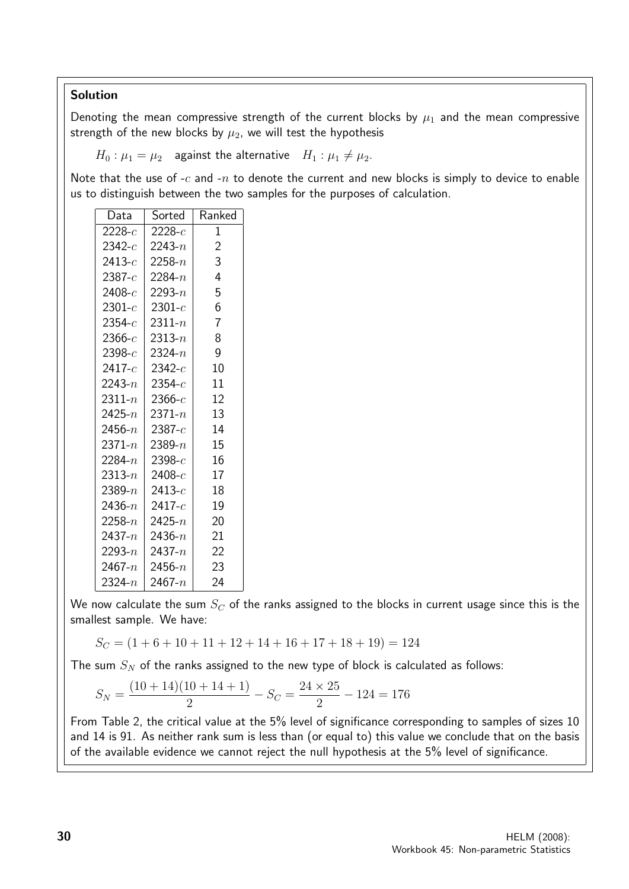#### Solution

Denoting the mean compressive strength of the current blocks by  $\mu_1$  and the mean compressive strength of the new blocks by  $\mu_2$ , we will test the hypothesis

 $H_0: \mu_1 = \mu_2$  against the alternative  $H_1: \mu_1 \neq \mu_2$ .

Note that the use of  $-c$  and  $-n$  to denote the current and new blocks is simply to device to enable us to distinguish between the two samples for the purposes of calculation.

| Data           | Sorted                   | Ranked         |
|----------------|--------------------------|----------------|
| $2228-c$       | 2228- $c$                | $\overline{1}$ |
| 2342- $c$      | 2243- $\scriptstyle{n}$  | $\overline{c}$ |
| 2413- $\it c$  | 2258- $\overline{n}$     | 3              |
| 2387- $\it{c}$ | 2284-n                   | 4              |
| 2408- $\it{c}$ | 2293- $\displaystyle{n}$ | 5              |
| 2301- $c$      | 2301- $c$                | 6              |
| 2354- $c$      | 2311- $n$                | $\overline{7}$ |
| 2366- $c$      | 2313- $\scriptstyle{n}$  | 8              |
| 2398- $c$      | 2324- $\displaystyle{n}$ | 9              |
| 2417- $c$      | 2342- $c$                | 10             |
| 2243- $n$      | 2354- $c$                | 11             |
| $2311 - n$     | 2366- $c\,$              | 12             |
| $2425 - n$     | 2371- $\scriptstyle{n}$  | 13             |
| 2456- $n$      | $2387-c$                 | 14             |
| $2371 - n$     | 2389- $n$                | 15             |
| $2284 - n$     | 2398- $c$                | 16             |
| 2313- $n$      | 2408- $c$                | 17             |
| 2389- $n$      | 2413- $\it c$            | 18             |
| 2436- $n$      | 2417- $\it c$            | 19             |
| $2258 - n$     | 2425- $n$                | 20             |
| 2437- $n$      | 2436- $\displaystyle{n}$ | 21             |
| 2293- $n$      | 2437- $\displaystyle{n}$ | 22             |
| 2467- $n$      | 2456- $\overline{n}$     | 23             |
| 2324- $n$      | 2467- $n$                | 24             |

We now calculate the sum  $S_C$  of the ranks assigned to the blocks in current usage since this is the smallest sample. We have:

 $S_C = (1 + 6 + 10 + 11 + 12 + 14 + 16 + 17 + 18 + 19) = 124$ 

The sum  $S_N$  of the ranks assigned to the new type of block is calculated as follows:

$$
S_N = \frac{(10+14)(10+14+1)}{2} - S_C = \frac{24 \times 25}{2} - 124 = 176
$$

From Table 2, the critical value at the 5% level of significance corresponding to samples of sizes 10 and 14 is 91. As neither rank sum is less than (or equal to) this value we conclude that on the basis of the available evidence we cannot reject the null hypothesis at the 5% level of significance.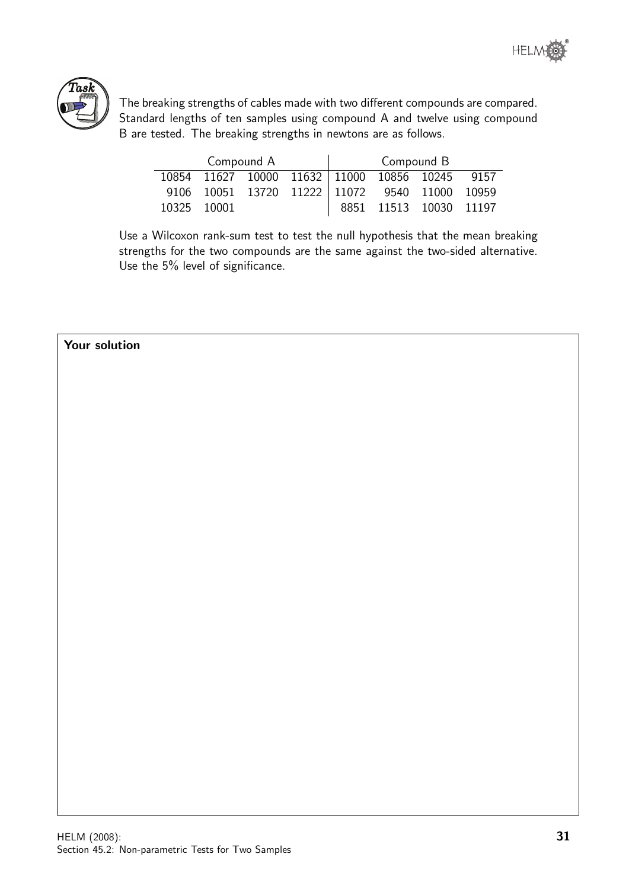



The breaking strengths of cables made with two different compounds are compared. Standard lengths of ten samples using compound A and twelve using compound B are tested. The breaking strengths in newtons are as follows.

|             | Compound A                                    |  | Compound B             |      |
|-------------|-----------------------------------------------|--|------------------------|------|
|             | 10854 11627 10000 11632 11000 10856 10245     |  |                        | 9157 |
|             | 9106 10051 13720 11222 11072 9540 11000 10959 |  |                        |      |
| 10325 10001 |                                               |  | 8851 11513 10030 11197 |      |

Use a Wilcoxon rank-sum test to test the null hypothesis that the mean breaking strengths for the two compounds are the same against the two-sided alternative. Use the 5% level of significance.

#### Your solution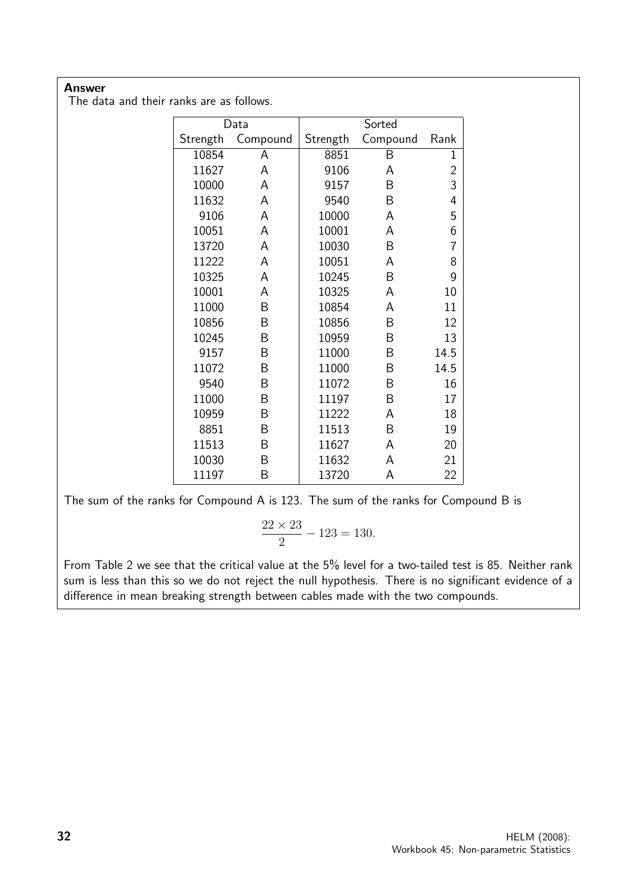#### Answer

The data and their ranks are as follows.

|          | Data     |          | Sorted   |                |
|----------|----------|----------|----------|----------------|
| Strength | Compound | Strength | Compound | Rank           |
| 10854    | А        | 8851     | Β        | 1              |
| 11627    | A        | 9106     | A        | $\overline{c}$ |
| 10000    | А        | 9157     | B        | 3              |
| 11632    | A        | 9540     | B        | 4              |
| 9106     | А        | 10000    | A        | 5              |
| 10051    | A        | 10001    | A        | 6              |
| 13720    | А        | 10030    | B        | 7              |
| 11222    | A        | 10051    | A        | 8              |
| 10325    | А        | 10245    | B        | 9              |
| 10001    | A        | 10325    | A        | 10             |
| 11000    | B        | 10854    | A        | 11             |
| 10856    | B        | 10856    | B        | 12             |
| 10245    | Β        | 10959    | B        | 13             |
| 9157     | B        | 11000    | B        | 14.5           |
| 11072    | Β        | 11000    | B        | 14.5           |
| 9540     | B        | 11072    | B        | 16             |
| 11000    | B        | 11197    | Β        | 17             |
| 10959    | B        | 11222    | A        | 18             |
| 8851     | B        | 11513    | Β        | 19             |
| 11513    | B        | 11627    | A        | 20             |
| 10030    | B        | 11632    | А        | 21             |
| 11197    | Β        | 13720    | A        | 22             |

The sum of the ranks for Compound A is 123. The sum of the ranks for Compound B is

$$
\frac{22 \times 23}{2} - 123 = 130.
$$

From Table 2 we see that the critical value at the 5% level for a two-tailed test is 85. Neither rank sum is less than this so we do not reject the null hypothesis. There is no significant evidence of a difference in mean breaking strength between cables made with the two compounds.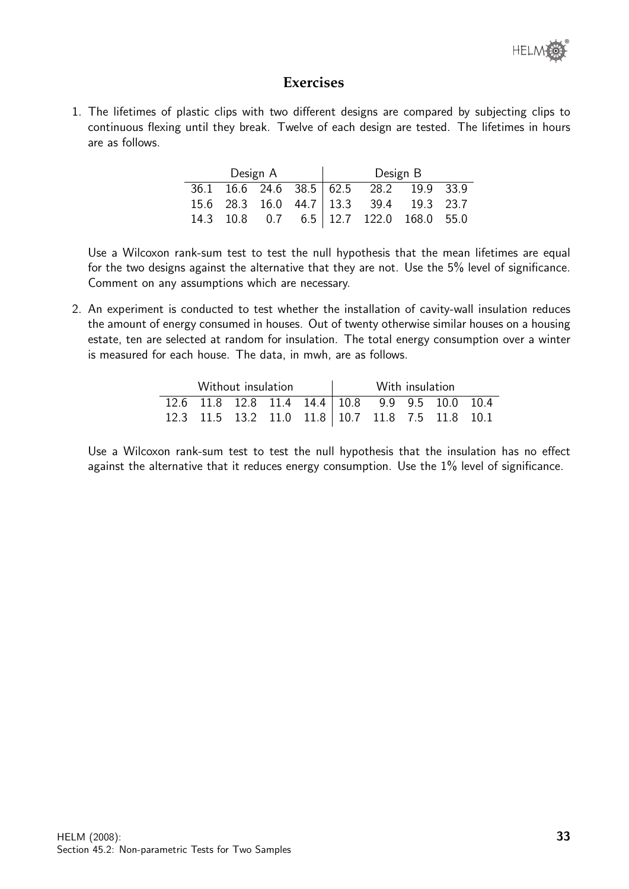

#### **Exercises**

1. The lifetimes of plastic clips with two different designs are compared by subjecting clips to continuous flexing until they break. Twelve of each design are tested. The lifetimes in hours are as follows.

| Design A |  |  |  | Design B                                |  |
|----------|--|--|--|-----------------------------------------|--|
|          |  |  |  | 36.1 16.6 24.6 38.5 62.5 28.2 19.9 33.9 |  |
|          |  |  |  | 15.6 28.3 16.0 44.7 13.3 39.4 19.3 23.7 |  |
|          |  |  |  | 14.3 10.8 0.7 6.5 12.7 122.0 168.0 55.0 |  |

Use a Wilcoxon rank-sum test to test the null hypothesis that the mean lifetimes are equal for the two designs against the alternative that they are not. Use the 5% level of significance. Comment on any assumptions which are necessary.

2. An experiment is conducted to test whether the installation of cavity-wall insulation reduces the amount of energy consumed in houses. Out of twenty otherwise similar houses on a housing estate, ten are selected at random for insulation. The total energy consumption over a winter is measured for each house. The data, in mwh, are as follows.

| Without insulation |  |  |  |  |                                                  | With insulation |  |  |
|--------------------|--|--|--|--|--------------------------------------------------|-----------------|--|--|
|                    |  |  |  |  | 12.6 11.8 12.8 11.4 14.4 10.8 9.9 9.5 10.0 10.4  |                 |  |  |
|                    |  |  |  |  | 12.3 11.5 13.2 11.0 11.8 10.7 11.8 7.5 11.8 10.1 |                 |  |  |

Use a Wilcoxon rank-sum test to test the null hypothesis that the insulation has no effect against the alternative that it reduces energy consumption. Use the 1% level of significance.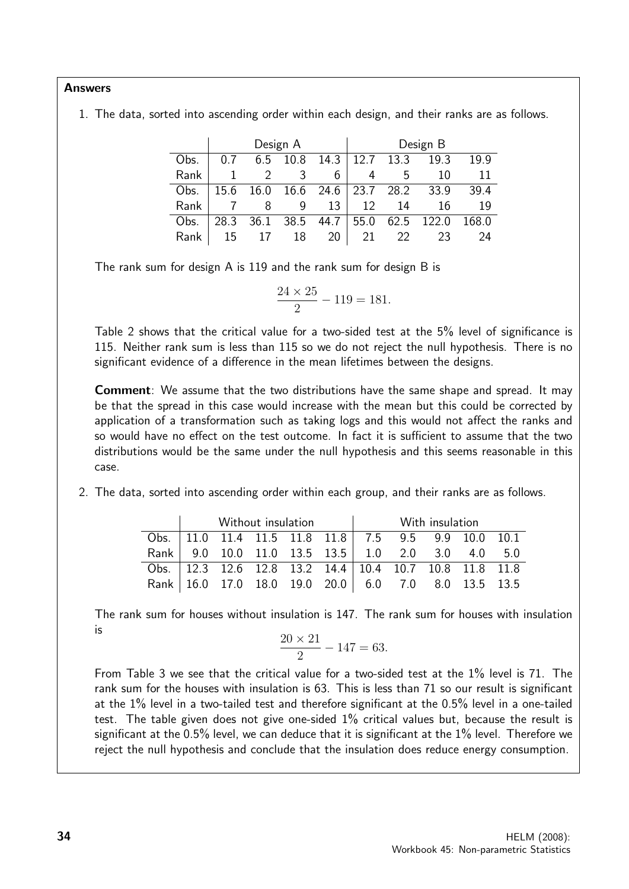#### Answers

1. The data, sorted into ascending order within each design, and their ranks are as follows.

|      |      |      | Design A |      |      |      | Design B |       |
|------|------|------|----------|------|------|------|----------|-------|
| Obs. |      | 6.5  | 10.8     | 14.3 | 12.7 | 13.3 | 19.3     | 19.9  |
| Rank |      |      |          | 6    |      | 5    | 10       | 11    |
| Obs. | 15.6 | 16.0 | 16.6     | 24.6 | 23.7 | 28.2 | 33.9     | 39.4  |
| Rank |      | 8    |          | 13   | 12   | 14   | 16       | 19    |
| Obs. | 28.3 | 36.1 | 38.5     | 44.7 | 55.0 | 62.5 | 122.0    | 168.0 |
| Rank | 15   |      | 18       | 20   | 21   | 22   | つろ       | 24    |

The rank sum for design A is 119 and the rank sum for design B is

$$
\frac{24 \times 25}{2} - 119 = 181.
$$

Table 2 shows that the critical value for a two-sided test at the 5% level of significance is 115. Neither rank sum is less than 115 so we do not reject the null hypothesis. There is no significant evidence of a difference in the mean lifetimes between the designs.

Comment: We assume that the two distributions have the same shape and spread. It may be that the spread in this case would increase with the mean but this could be corrected by application of a transformation such as taking logs and this would not affect the ranks and so would have no effect on the test outcome. In fact it is sufficient to assume that the two distributions would be the same under the null hypothesis and this seems reasonable in this case.

2. The data, sorted into ascending order within each group, and their ranks are as follows.

|                                                       |  | Without insulation |                                                            | With insulation |  |  |  |  |  |
|-------------------------------------------------------|--|--------------------|------------------------------------------------------------|-----------------|--|--|--|--|--|
|                                                       |  |                    | Obs.   11.0 11.4 11.5 11.8 11.8   7.5 9.5 9.9 10.0 10.1    |                 |  |  |  |  |  |
|                                                       |  |                    | Rank 9.0 10.0 11.0 13.5 13.5 1.0 2.0 3.0 4.0 5.0           |                 |  |  |  |  |  |
|                                                       |  |                    | Obs.   12.3 12.6 12.8 13.2 14.4   10.4 10.7 10.8 11.8 11.8 |                 |  |  |  |  |  |
| Rank   16.0 17.0 18.0 19.0 20.0 6.0 7.0 8.0 13.5 13.5 |  |                    |                                                            |                 |  |  |  |  |  |

The rank sum for houses without insulation is 147. The rank sum for houses with insulation is

$$
\frac{20 \times 21}{2} - 147 = 63.
$$

From Table 3 we see that the critical value for a two-sided test at the 1% level is 71. The rank sum for the houses with insulation is 63. This is less than 71 so our result is significant at the 1% level in a two-tailed test and therefore significant at the 0.5% level in a one-tailed test. The table given does not give one-sided 1% critical values but, because the result is significant at the 0.5% level, we can deduce that it is significant at the 1% level. Therefore we reject the null hypothesis and conclude that the insulation does reduce energy consumption.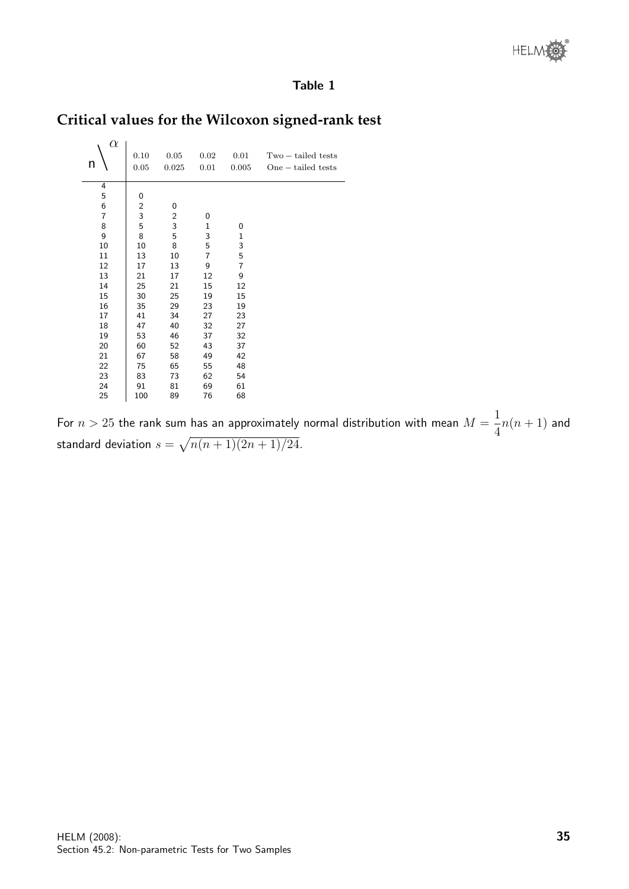#### Table 1

## **Critical values for the Wilcoxon signed-rank test**

| $\alpha$<br>n | 0.10<br>0.05            | 0.05<br>0.025  | 0.02<br>0.01 | 0.01<br>0.005 | $Two-tailed tests$<br>$One - tailed tests$ |
|---------------|-------------------------|----------------|--------------|---------------|--------------------------------------------|
| 4             |                         |                |              |               |                                            |
| 5             | 0                       |                |              |               |                                            |
| 6             | $\overline{\mathbf{c}}$ | $\mathbf 0$    |              |               |                                            |
| 7             | 3                       | $\overline{c}$ | 0            |               |                                            |
| 8             | 5                       | 3              | $\mathbf{1}$ | 0             |                                            |
| 9             | 8                       | 5              | 3            | $\mathbf{1}$  |                                            |
| 10            | 10                      | 8              | 5            | 3             |                                            |
| 11            | 13                      | 10             | 7            | 5             |                                            |
| 12            | 17                      | 13             | 9            | 7             |                                            |
| 13            | 21                      | 17             | 12           | 9             |                                            |
| 14            | 25                      | 21             | 15           | 12            |                                            |
| 15            | 30                      | 25             | 19           | 15            |                                            |
| 16            | 35                      | 29             | 23           | 19            |                                            |
| 17            | 41                      | 34             | 27           | 23            |                                            |
| 18            | 47                      | 40             | 32           | 27            |                                            |
| 19            | 53                      | 46             | 37           | 32            |                                            |
| 20            | 60                      | 52             | 43           | 37            |                                            |
| 21            | 67                      | 58             | 49           | 42            |                                            |
| 22            | 75                      | 65             | 55           | 48            |                                            |
| 23            | 83                      | 73             | 62           | 54            |                                            |
| 24            | 91                      | 81             | 69           | 61            |                                            |
| 25            | 100                     | 89             | 76           | 68            |                                            |

For  $n > 25$  the rank sum has an approximately normal distribution with mean  $M =$   $n(n+1)$  and standard deviation  $s = \sqrt{n(n+1)(2n+1)/24}.$